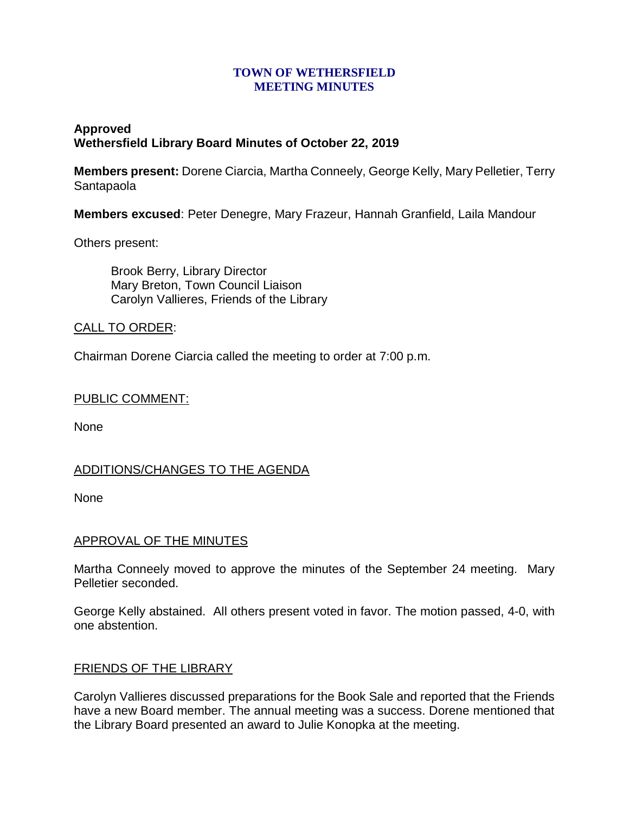### **TOWN OF WETHERSFIELD MEETING MINUTES**

# **Approved Wethersfield Library Board Minutes of October 22, 2019**

**Members present:** Dorene Ciarcia, Martha Conneely, George Kelly, Mary Pelletier, Terry Santapaola

**Members excused**: Peter Denegre, Mary Frazeur, Hannah Granfield, Laila Mandour

Others present:

Brook Berry, Library Director Mary Breton, Town Council Liaison Carolyn Vallieres, Friends of the Library

# CALL TO ORDER:

Chairman Dorene Ciarcia called the meeting to order at 7:00 p.m.

#### PUBLIC COMMENT:

None

# ADDITIONS/CHANGES TO THE AGENDA

None

#### APPROVAL OF THE MINUTES

Martha Conneely moved to approve the minutes of the September 24 meeting. Mary Pelletier seconded.

George Kelly abstained. All others present voted in favor. The motion passed, 4-0, with one abstention.

#### FRIENDS OF THE LIBRARY

Carolyn Vallieres discussed preparations for the Book Sale and reported that the Friends have a new Board member. The annual meeting was a success. Dorene mentioned that the Library Board presented an award to Julie Konopka at the meeting.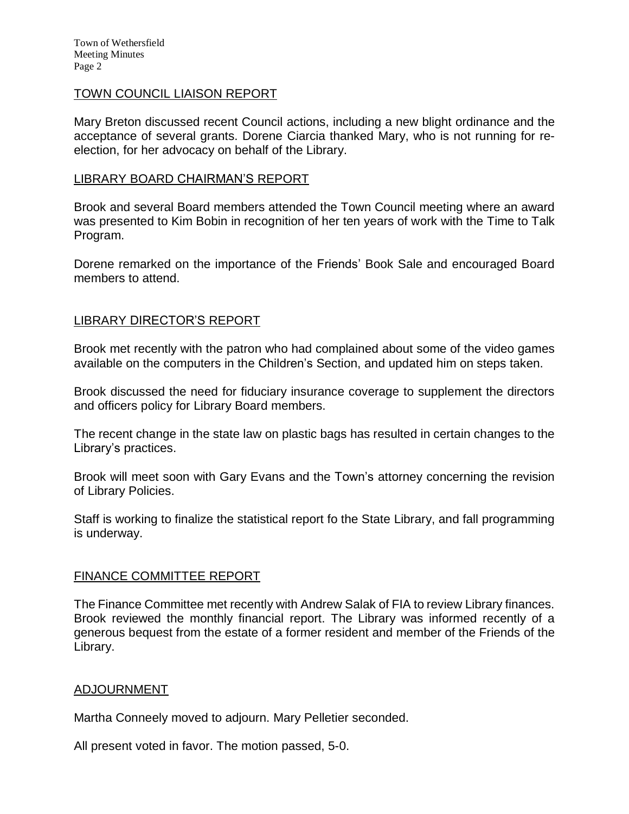#### TOWN COUNCIL LIAISON REPORT

Mary Breton discussed recent Council actions, including a new blight ordinance and the acceptance of several grants. Dorene Ciarcia thanked Mary, who is not running for reelection, for her advocacy on behalf of the Library.

#### LIBRARY BOARD CHAIRMAN'S REPORT

Brook and several Board members attended the Town Council meeting where an award was presented to Kim Bobin in recognition of her ten years of work with the Time to Talk Program.

Dorene remarked on the importance of the Friends' Book Sale and encouraged Board members to attend.

### LIBRARY DIRECTOR'S REPORT

Brook met recently with the patron who had complained about some of the video games available on the computers in the Children's Section, and updated him on steps taken.

Brook discussed the need for fiduciary insurance coverage to supplement the directors and officers policy for Library Board members.

The recent change in the state law on plastic bags has resulted in certain changes to the Library's practices.

Brook will meet soon with Gary Evans and the Town's attorney concerning the revision of Library Policies.

Staff is working to finalize the statistical report fo the State Library, and fall programming is underway.

#### FINANCE COMMITTEE REPORT

The Finance Committee met recently with Andrew Salak of FIA to review Library finances. Brook reviewed the monthly financial report. The Library was informed recently of a generous bequest from the estate of a former resident and member of the Friends of the Library.

#### ADJOURNMENT

Martha Conneely moved to adjourn. Mary Pelletier seconded.

All present voted in favor. The motion passed, 5-0.